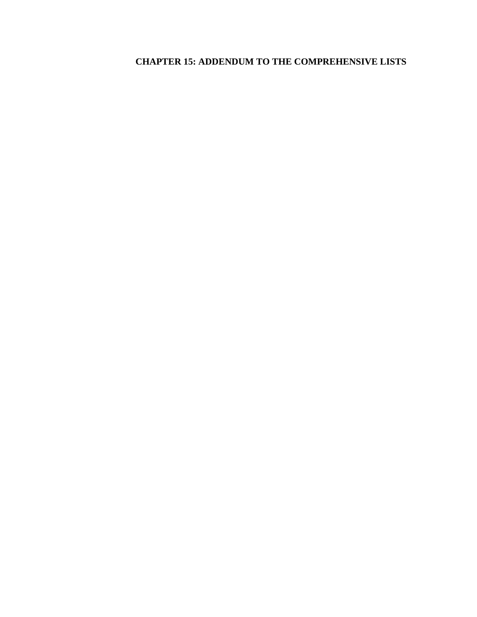# **CHAPTER 15: ADDENDUM TO THE COMPREHENSIVE LISTS**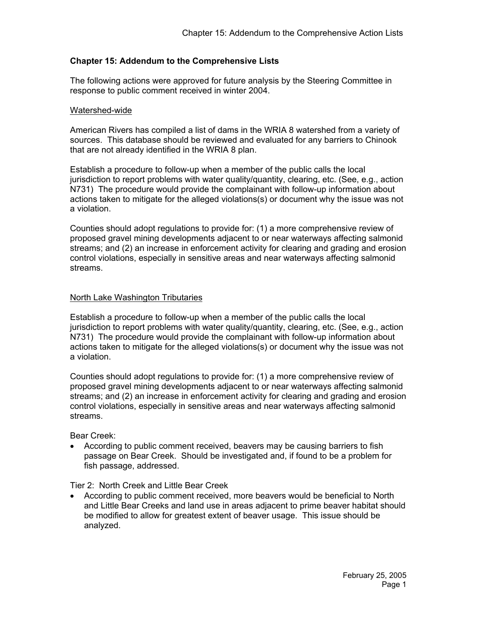## **Chapter 15: Addendum to the Comprehensive Lists**

The following actions were approved for future analysis by the Steering Committee in response to public comment received in winter 2004.

#### Watershed-wide

American Rivers has compiled a list of dams in the WRIA 8 watershed from a variety of sources. This database should be reviewed and evaluated for any barriers to Chinook that are not already identified in the WRIA 8 plan.

Establish a procedure to follow-up when a member of the public calls the local jurisdiction to report problems with water quality/quantity, clearing, etc. (See, e.g., action N731) The procedure would provide the complainant with follow-up information about actions taken to mitigate for the alleged violations(s) or document why the issue was not a violation.

Counties should adopt regulations to provide for: (1) a more comprehensive review of proposed gravel mining developments adjacent to or near waterways affecting salmonid streams; and (2) an increase in enforcement activity for clearing and grading and erosion control violations, especially in sensitive areas and near waterways affecting salmonid streams.

### North Lake Washington Tributaries

Establish a procedure to follow-up when a member of the public calls the local jurisdiction to report problems with water quality/quantity, clearing, etc. (See, e.g., action N731) The procedure would provide the complainant with follow-up information about actions taken to mitigate for the alleged violations(s) or document why the issue was not a violation.

Counties should adopt regulations to provide for: (1) a more comprehensive review of proposed gravel mining developments adjacent to or near waterways affecting salmonid streams; and (2) an increase in enforcement activity for clearing and grading and erosion control violations, especially in sensitive areas and near waterways affecting salmonid streams.

Bear Creek:

• According to public comment received, beavers may be causing barriers to fish passage on Bear Creek. Should be investigated and, if found to be a problem for fish passage, addressed.

Tier 2: North Creek and Little Bear Creek

• According to public comment received, more beavers would be beneficial to North and Little Bear Creeks and land use in areas adjacent to prime beaver habitat should be modified to allow for greatest extent of beaver usage. This issue should be analyzed.